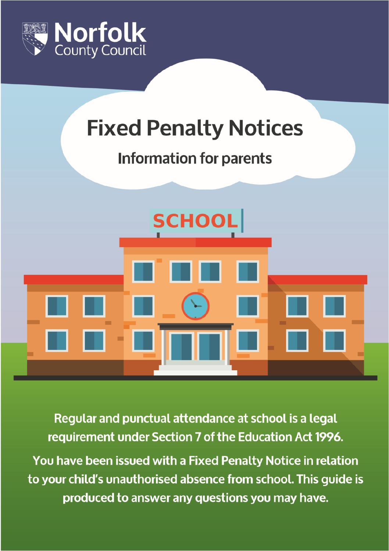

# **Fixed Penalty Notices**

# **Information for parents**



Regular and punctual attendance at school is a legal requirement under Section 7 of the Education Act 1996.

You have been issued with a Fixed Penalty Notice in relation to your child's unauthorised absence from school. This quide is produced to answer any questions you may have.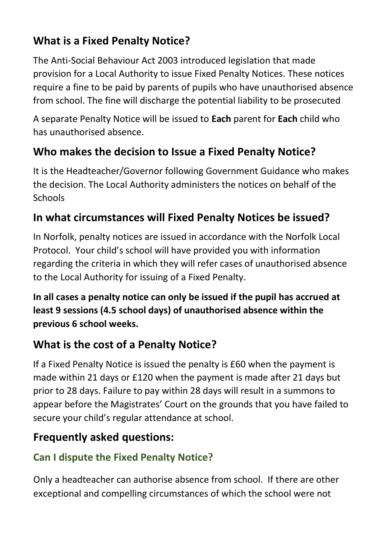# **What is a Fixed Penalty Notice?**

The Anti-Social Behaviour Act 2003 introduced legislation that made provision for a Local Authority to issue Fixed Penalty Notices. These notices require a fine to be paid by parents of pupils who have unauthorised absence from school. The fine will discharge the potential liability to be prosecuted

A separate Penalty Notice will be issued to **Each** parent for **Each** child who has unauthorised absence.

# **Who makes the decision to Issue a Fixed Penalty Notice?**

It is the Headteacher/Governor following Government Guidance who makes the decision. The Local Authority administers the notices on behalf of the **Schools** 

#### **In what circumstances will Fixed Penalty Notices be issued?**

In Norfolk, penalty notices are issued in accordance with the Norfolk Local Protocol. Your child's school will have provided you with information regarding the criteria in which they will refer cases of unauthorised absence to the Local Authority for issuing of a Fixed Penalty.

**In all cases a penalty notice can only be issued if the pupil has accrued at least 9 sessions (4.5 school days) of unauthorised absence within the previous 6 school weeks.**

## **What is the cost of a Penalty Notice?**

If a Fixed Penalty Notice is issued the penalty is £60 when the payment is made within 21 days or £120 when the payment is made after 21 days but prior to 28 days. Failure to pay within 28 days will result in a summons to appear before the Magistrates' Court on the grounds that you have failed to secure your child's regular attendance at school.

## **Frequently asked questions:**

## **Can I dispute the Fixed Penalty Notice?**

Only a headteacher can authorise absence from school. If there are other exceptional and compelling circumstances of which the school were not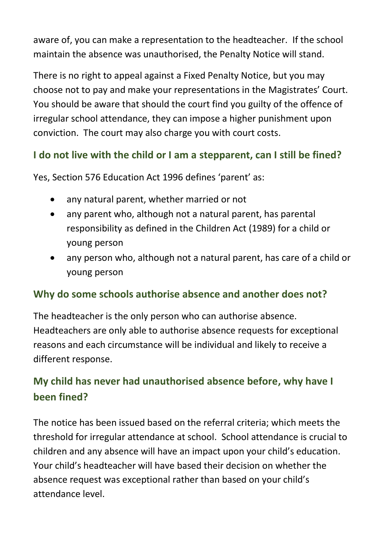aware of, you can make a representation to the headteacher. If the school maintain the absence was unauthorised, the Penalty Notice will stand.

There is no right to appeal against a Fixed Penalty Notice, but you may choose not to pay and make your representations in the Magistrates' Court. You should be aware that should the court find you guilty of the offence of irregular school attendance, they can impose a higher punishment upon conviction. The court may also charge you with court costs.

#### **I do not live with the child or I am a stepparent, can I still be fined?**

Yes, Section 576 Education Act 1996 defines 'parent' as:

- any natural parent, whether married or not
- any parent who, although not a natural parent, has parental responsibility as defined in the Children Act (1989) for a child or young person
- any person who, although not a natural parent, has care of a child or young person

#### **Why do some schools authorise absence and another does not?**

The headteacher is the only person who can authorise absence. Headteachers are only able to authorise absence requests for exceptional reasons and each circumstance will be individual and likely to receive a different response.

#### **My child has never had unauthorised absence before, why have I been fined?**

The notice has been issued based on the referral criteria; which meets the threshold for irregular attendance at school. School attendance is crucial to children and any absence will have an impact upon your child's education. Your child's headteacher will have based their decision on whether the absence request was exceptional rather than based on your child's attendance level.